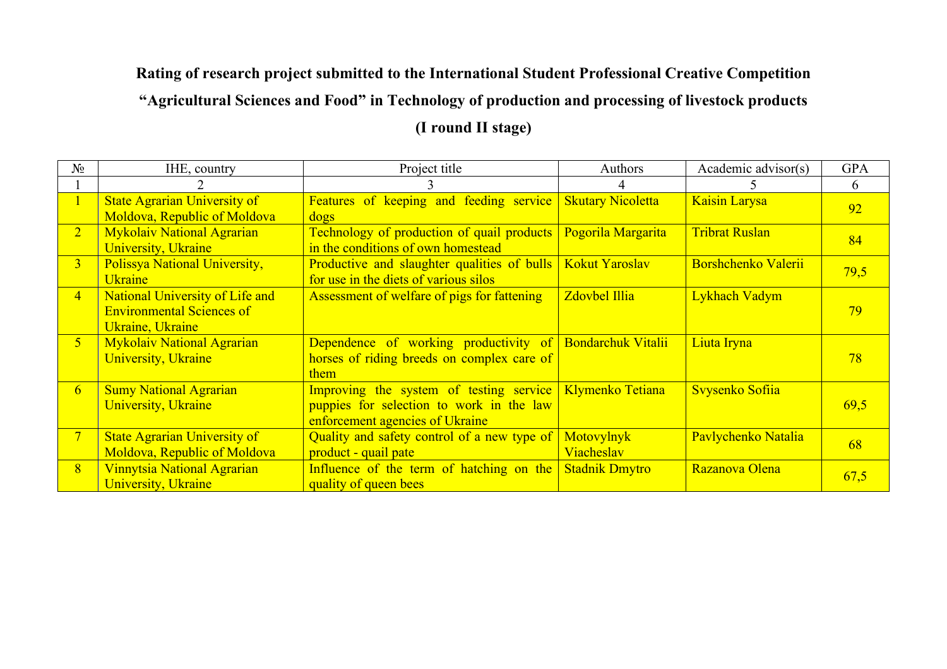## **Rating of research project submitted to the International Student Professional Creative Competition "Agricultural Sciences and Food" in Technology of production and processing of livestock products (I round II stage)**

| $N_2$          | IHE, country                                                                            | Project title                                                                                                                           | <b>Authors</b>       | Academic advisor(s)   | <b>GPA</b> |
|----------------|-----------------------------------------------------------------------------------------|-----------------------------------------------------------------------------------------------------------------------------------------|----------------------|-----------------------|------------|
|                |                                                                                         |                                                                                                                                         |                      |                       | 6          |
|                | <b>State Agrarian University of</b><br>Moldova, Republic of Moldova                     | <b>Features of keeping and feeding service Skutary Nicoletta</b><br>dogs                                                                |                      | Kaisin Larysa         | 92         |
| $\overline{2}$ | <b>Mykolaiv National Agrarian</b><br><b>University</b> , Ukraine                        | Technology of production of quail products<br>in the conditions of own homestead                                                        | Pogorila Margarita   | <b>Tribrat Ruslan</b> | 84         |
| 3 <sup>1</sup> | Polissya National University,<br><b>Ukraine</b>                                         | Productive and slaughter qualities of bulls   Kokut Yaroslav<br>for use in the diets of various silos                                   |                      | Borshchenko Valerii   | 79,5       |
| $\overline{4}$ | National University of Life and<br><b>Environmental Sciences of</b><br>Ukraine, Ukraine | Assessment of welfare of pigs for fattening                                                                                             | <b>Zdovbel Illia</b> | Lykhach Vadym         | 79         |
| 5 <sup>1</sup> | <b>Mykolaiv National Agrarian</b><br><b>University</b> , Ukraine                        | Dependence of working productivity of Bondarchuk Vitalii<br>horses of riding breeds on complex care of<br>them                          |                      | Liuta Iryna           | 78         |
| 6 <sup>1</sup> | <b>Sumy National Agrarian</b><br><b>University</b> , Ukraine                            | Improving the system of testing service Klymenko Tetiana<br>puppies for selection to work in the law<br>enforcement agencies of Ukraine |                      | Svysenko Sofiia       | 69,5       |
| 7 <sup>7</sup> | <b>State Agrarian University of</b><br>Moldova, Republic of Moldova                     | Quality and safety control of a new type of Motovylnyk<br>product - quail pate                                                          | Viacheslav           | Pavlychenko Natalia   | 68         |
| 8 <sup>°</sup> | Vinnytsia National Agrarian<br>University, Ukraine                                      | Influence of the term of hatching on the Stadnik Dmytro<br>quality of queen bees                                                        |                      | Razanova Olena        | 67,5       |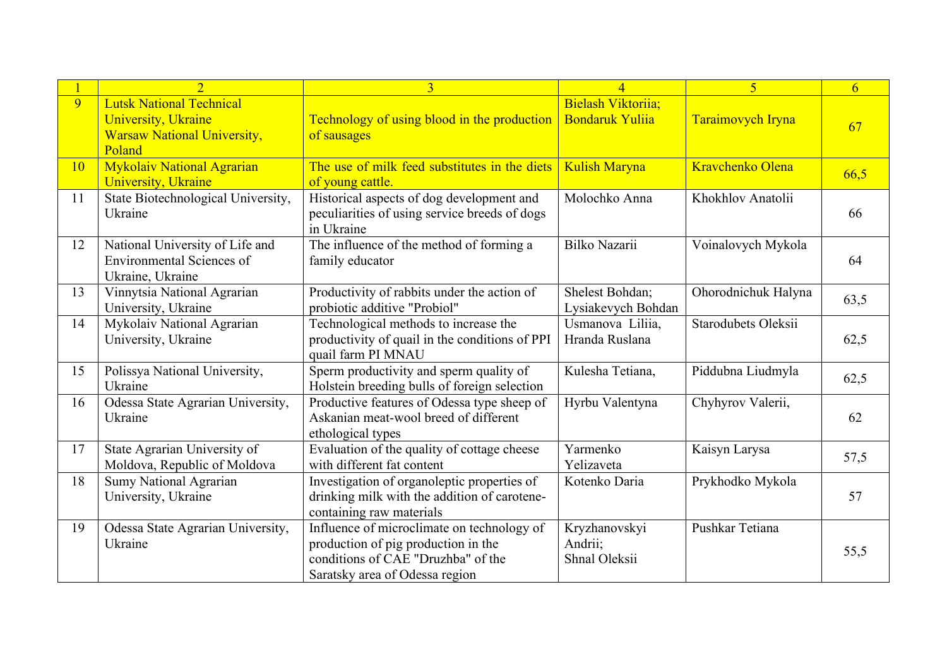|    |                                                                                                                | $\overline{3}$                                                                                                                                            | $\boldsymbol{\varDelta}$                     | 5                   | 6    |
|----|----------------------------------------------------------------------------------------------------------------|-----------------------------------------------------------------------------------------------------------------------------------------------------------|----------------------------------------------|---------------------|------|
| 9  | <b>Lutsk National Technical</b><br><b>University</b> , Ukraine<br><b>Warsaw National University,</b><br>Poland | Technology of using blood in the production<br>of sausages                                                                                                | Bielash Viktoriia;<br><b>Bondaruk Yulija</b> | Taraimovych Iryna   | 67   |
| 10 | <b>Mykolaiv National Agrarian</b><br><b>University</b> , Ukraine                                               | The use of milk feed substitutes in the diets<br>of young cattle.                                                                                         | <b>Kulish Maryna</b>                         | Kravchenko Olena    | 66,5 |
| 11 | State Biotechnological University,<br>Ukraine                                                                  | Historical aspects of dog development and<br>peculiarities of using service breeds of dogs<br>in Ukraine                                                  | Molochko Anna                                | Khokhlov Anatolii   | 66   |
| 12 | National University of Life and<br>Environmental Sciences of<br>Ukraine, Ukraine                               | The influence of the method of forming a<br>family educator                                                                                               | Bilko Nazarii                                | Voinalovych Mykola  | 64   |
| 13 | Vinnytsia National Agrarian<br>University, Ukraine                                                             | Productivity of rabbits under the action of<br>probiotic additive "Probiol"                                                                               | Shelest Bohdan;<br>Lysiakevych Bohdan        | Ohorodnichuk Halyna | 63,5 |
| 14 | Mykolaiv National Agrarian<br>University, Ukraine                                                              | Technological methods to increase the<br>productivity of quail in the conditions of PPI<br>quail farm PI MNAU                                             | Usmanova Liliia,<br>Hranda Ruslana           | Starodubets Oleksii | 62,5 |
| 15 | Polissya National University,<br>Ukraine                                                                       | Sperm productivity and sperm quality of<br>Holstein breeding bulls of foreign selection                                                                   | Kulesha Tetiana,                             | Piddubna Liudmyla   | 62,5 |
| 16 | Odessa State Agrarian University,<br>Ukraine                                                                   | Productive features of Odessa type sheep of<br>Askanian meat-wool breed of different<br>ethological types                                                 | Hyrbu Valentyna                              | Chyhyrov Valerii,   | 62   |
| 17 | State Agrarian University of<br>Moldova, Republic of Moldova                                                   | Evaluation of the quality of cottage cheese<br>with different fat content                                                                                 | Yarmenko<br>Yelizaveta                       | Kaisyn Larysa       | 57,5 |
| 18 | Sumy National Agrarian<br>University, Ukraine                                                                  | Investigation of organoleptic properties of<br>drinking milk with the addition of carotene-<br>containing raw materials                                   | Kotenko Daria                                | Prykhodko Mykola    | 57   |
| 19 | Odessa State Agrarian University,<br>Ukraine                                                                   | Influence of microclimate on technology of<br>production of pig production in the<br>conditions of CAE "Druzhba" of the<br>Saratsky area of Odessa region | Kryzhanovskyi<br>Andrii;<br>Shnal Oleksii    | Pushkar Tetiana     | 55,5 |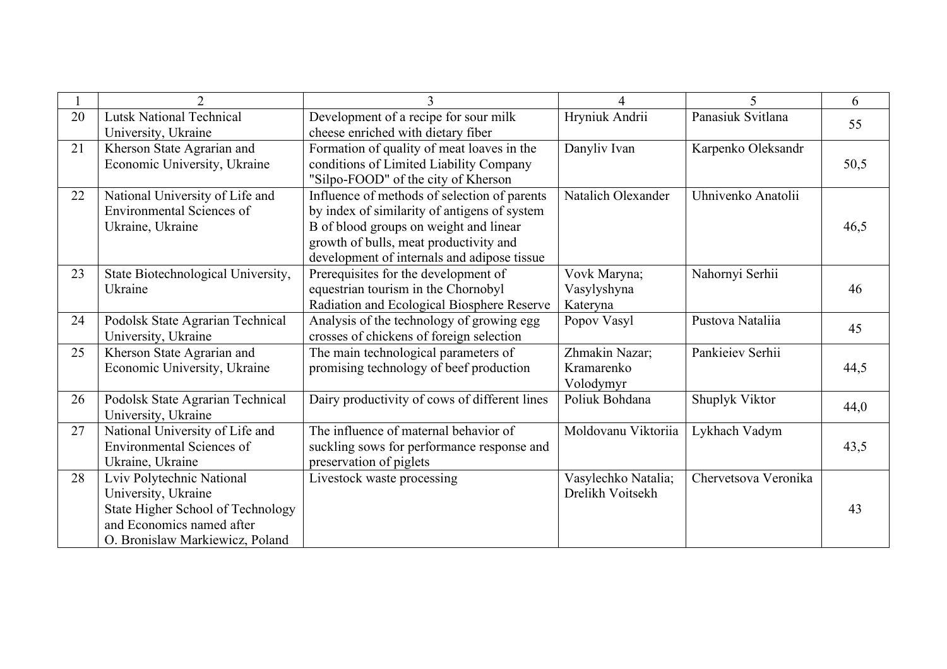|    | $\overline{2}$                                                                                                                                        |                                                                                                                                                                                                                                 | $\Delta$                                  | 5                    | 6    |
|----|-------------------------------------------------------------------------------------------------------------------------------------------------------|---------------------------------------------------------------------------------------------------------------------------------------------------------------------------------------------------------------------------------|-------------------------------------------|----------------------|------|
| 20 | <b>Lutsk National Technical</b><br>University, Ukraine                                                                                                | Development of a recipe for sour milk<br>cheese enriched with dietary fiber                                                                                                                                                     | Hryniuk Andrii                            | Panasiuk Svitlana    | 55   |
| 21 | Kherson State Agrarian and<br>Economic University, Ukraine                                                                                            | Formation of quality of meat loaves in the<br>conditions of Limited Liability Company<br>"Silpo-FOOD" of the city of Kherson                                                                                                    | Danyliv Ivan                              | Karpenko Oleksandr   | 50,5 |
| 22 | National University of Life and<br><b>Environmental Sciences of</b><br>Ukraine, Ukraine                                                               | Influence of methods of selection of parents<br>by index of similarity of antigens of system<br>B of blood groups on weight and linear<br>growth of bulls, meat productivity and<br>development of internals and adipose tissue | Natalich Olexander                        | Uhnivenko Anatolii   | 46,5 |
| 23 | State Biotechnological University,<br>Ukraine                                                                                                         | Prerequisites for the development of<br>equestrian tourism in the Chornobyl<br>Radiation and Ecological Biosphere Reserve                                                                                                       | Vovk Maryna;<br>Vasylyshyna<br>Kateryna   | Nahornyi Serhii      | 46   |
| 24 | Podolsk State Agrarian Technical<br>University, Ukraine                                                                                               | Analysis of the technology of growing egg<br>crosses of chickens of foreign selection                                                                                                                                           | Popov Vasyl                               | Pustova Natalija     | 45   |
| 25 | Kherson State Agrarian and<br>Economic University, Ukraine                                                                                            | The main technological parameters of<br>promising technology of beef production                                                                                                                                                 | Zhmakin Nazar;<br>Kramarenko<br>Volodymyr | Pankieiev Serhii     | 44,5 |
| 26 | Podolsk State Agrarian Technical<br>University, Ukraine                                                                                               | Dairy productivity of cows of different lines                                                                                                                                                                                   | Poliuk Bohdana                            | Shuplyk Viktor       | 44,0 |
| 27 | National University of Life and<br><b>Environmental Sciences of</b><br>Ukraine, Ukraine                                                               | The influence of maternal behavior of<br>suckling sows for performance response and<br>preservation of piglets                                                                                                                  | Moldovanu Viktoriia                       | Lykhach Vadym        | 43,5 |
| 28 | Lviv Polytechnic National<br>University, Ukraine<br>State Higher School of Technology<br>and Economics named after<br>O. Bronislaw Markiewicz, Poland | Livestock waste processing                                                                                                                                                                                                      | Vasylechko Natalia;<br>Drelikh Voitsekh   | Chervetsova Veronika | 43   |